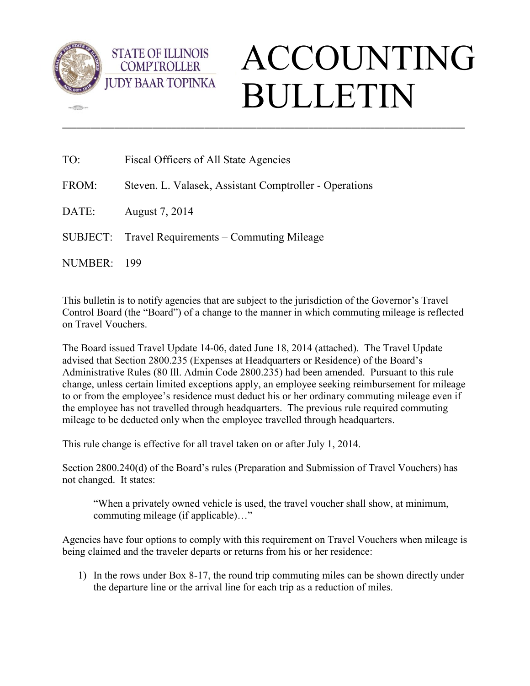

 $\sqrt{2}$ 

**STATE OF ILLINOIS COMPTROLLER** 

# ACCOUNTING BULLETIN

| TO:     | Fiscal Officers of All State Agencies                  |
|---------|--------------------------------------------------------|
| FROM:   | Steven. L. Valasek, Assistant Comptroller - Operations |
| DATE:   | August 7, 2014                                         |
|         | SUBJECT: Travel Requirements – Commuting Mileage       |
| NUMBER: | - 199                                                  |

This bulletin is to notify agencies that are subject to the jurisdiction of the Governor's Travel Control Board (the "Board") of a change to the manner in which commuting mileage is reflected on Travel Vouchers.

\_\_\_\_\_\_\_\_\_\_\_\_\_\_\_\_\_\_\_\_\_\_\_\_\_\_\_\_\_\_\_\_\_\_\_\_\_\_\_\_\_\_\_\_\_\_\_\_\_\_\_\_\_\_\_\_\_\_\_\_\_\_\_\_\_\_\_\_\_\_\_\_\_\_\_\_\_\_\_\_\_\_\_\_\_

The Board issued Travel Update 14-06, dated June 18, 2014 (attached). The Travel Update advised that Section 2800.235 (Expenses at Headquarters or Residence) of the Board's Administrative Rules (80 Ill. Admin Code 2800.235) had been amended. Pursuant to this rule change, unless certain limited exceptions apply, an employee seeking reimbursement for mileage to or from the employee's residence must deduct his or her ordinary commuting mileage even if the employee has not travelled through headquarters. The previous rule required commuting mileage to be deducted only when the employee travelled through headquarters.

This rule change is effective for all travel taken on or after July 1, 2014.

Section 2800.240(d) of the Board's rules (Preparation and Submission of Travel Vouchers) has not changed. It states:

"When a privately owned vehicle is used, the travel voucher shall show, at minimum, commuting mileage (if applicable)…"

Agencies have four options to comply with this requirement on Travel Vouchers when mileage is being claimed and the traveler departs or returns from his or her residence:

1) In the rows under Box 8-17, the round trip commuting miles can be shown directly under the departure line or the arrival line for each trip as a reduction of miles.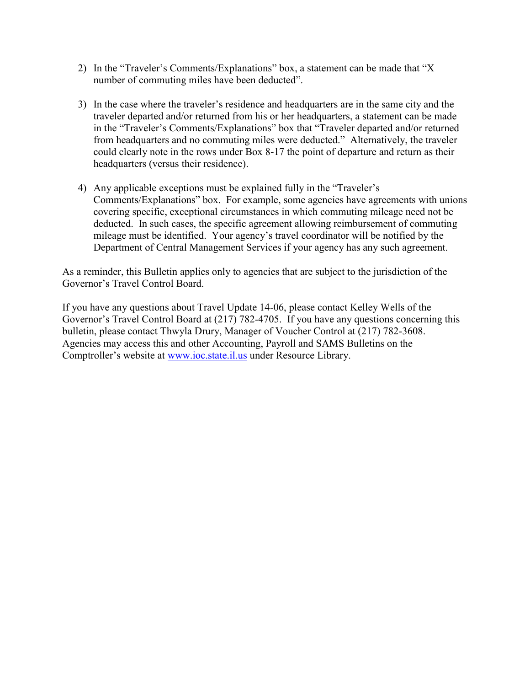- 2) In the "Traveler's Comments/Explanations" box, a statement can be made that "X number of commuting miles have been deducted".
- 3) In the case where the traveler's residence and headquarters are in the same city and the traveler departed and/or returned from his or her headquarters, a statement can be made in the "Traveler's Comments/Explanations" box that "Traveler departed and/or returned from headquarters and no commuting miles were deducted." Alternatively, the traveler could clearly note in the rows under Box 8-17 the point of departure and return as their headquarters (versus their residence).
- 4) Any applicable exceptions must be explained fully in the "Traveler's Comments/Explanations" box. For example, some agencies have agreements with unions covering specific, exceptional circumstances in which commuting mileage need not be deducted. In such cases, the specific agreement allowing reimbursement of commuting mileage must be identified. Your agency's travel coordinator will be notified by the Department of Central Management Services if your agency has any such agreement.

As a reminder, this Bulletin applies only to agencies that are subject to the jurisdiction of the Governor's Travel Control Board.

If you have any questions about Travel Update 14-06, please contact Kelley Wells of the Governor's Travel Control Board at (217) 782-4705. If you have any questions concerning this bulletin, please contact Thwyla Drury, Manager of Voucher Control at (217) 782-3608. Agencies may access this and other Accounting, Payroll and SAMS Bulletins on the Comptroller's website at [www.ioc.state.il.us](http://www.ioc.state.il.us/) under Resource Library.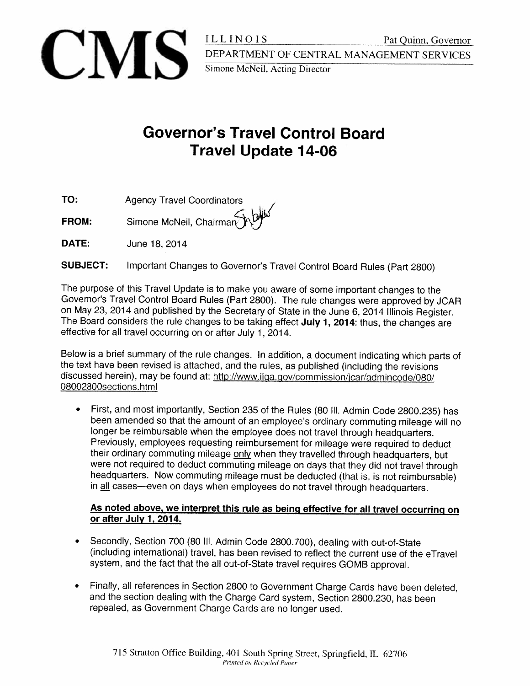

# **Governor's Travel Control Board Travel Update 14-06**

TO: **Agency Travel Coordinators** 

FROM: Simone McNeil, Chairman

DATE: June 18, 2014

Important Changes to Governor's Travel Control Board Rules (Part 2800) **SUBJECT:** 

The purpose of this Travel Update is to make you aware of some important changes to the Governor's Travel Control Board Rules (Part 2800). The rule changes were approved by JCAR on May 23, 2014 and published by the Secretary of State in the June 6, 2014 Illinois Register. The Board considers the rule changes to be taking effect July 1, 2014: thus, the changes are effective for all travel occurring on or after July 1, 2014.

Below is a brief summary of the rule changes. In addition, a document indicating which parts of the text have been revised is attached, and the rules, as published (including the revisions discussed herein), may be found at: http://www.ilga.gov/commission/jcar/admincode/080/ 08002800sections.html

First, and most importantly, Section 235 of the Rules (80 III. Admin Code 2800.235) has been amended so that the amount of an employee's ordinary commuting mileage will no longer be reimbursable when the employee does not travel through headquarters. Previously, employees requesting reimbursement for mileage were required to deduct their ordinary commuting mileage only when they travelled through headquarters, but were not required to deduct commuting mileage on days that they did not travel through headquarters. Now commuting mileage must be deducted (that is, is not reimbursable) in all cases—even on days when employees do not travel through headquarters.

# As noted above, we interpret this rule as being effective for all travel occurring on or after July 1, 2014.

- Secondly, Section 700 (80 III. Admin Code 2800.700), dealing with out-of-State (including international) travel, has been revised to reflect the current use of the eTravel system, and the fact that the all out-of-State travel requires GOMB approval.
- Finally, all references in Section 2800 to Government Charge Cards have been deleted,  $\bullet$ and the section dealing with the Charge Card system, Section 2800.230, has been repealed, as Government Charge Cards are no longer used.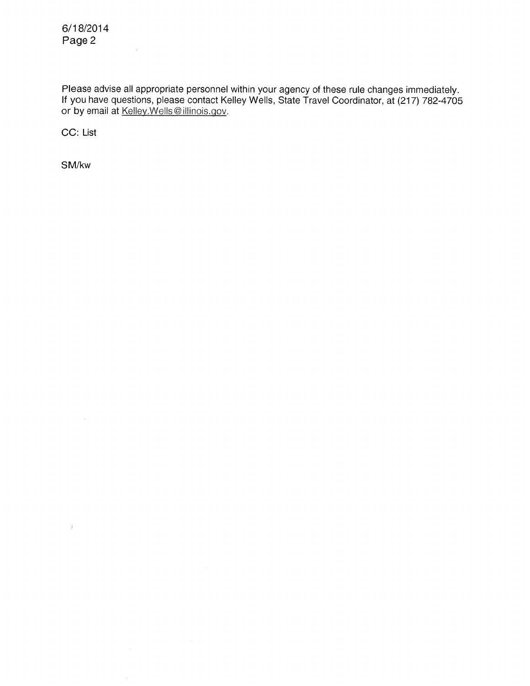Please advise all appropriate personnel within your agency of these rule changes immediately.<br>If you have questions, please contact Kelley Wells, State Travel Coordinator, at (217) 782-4705<br>or by email at Kelley.Wells@illi

CC: List

SM/kw

 $\sim$   $t$  .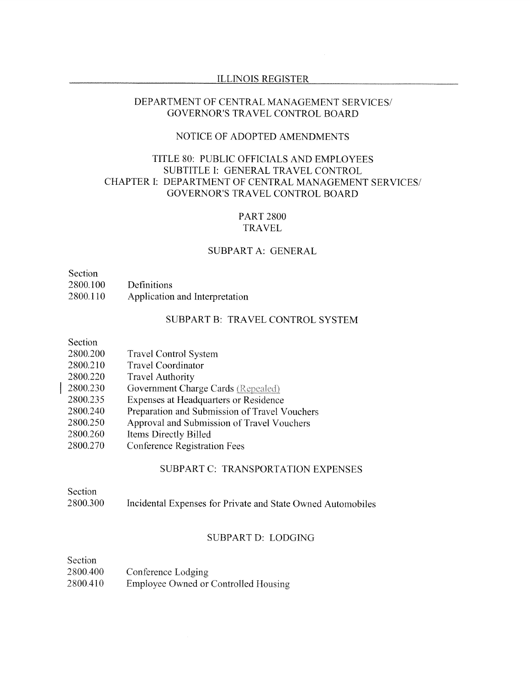#### **ILLINOIS REGISTER**

#### DEPARTMENT OF CENTRAL MANAGEMENT SERVICES/ **GOVERNOR'S TRAVEL CONTROL BOARD**

# NOTICE OF ADOPTED AMENDMENTS

# TITLE 80: PUBLIC OFFICIALS AND EMPLOYEES SUBTITLE I: GENERAL TRAVEL CONTROL CHAPTER I: DEPARTMENT OF CENTRAL MANAGEMENT SERVICES/ GOVERNOR'S TRAVEL CONTROL BOARD

# **PART 2800 TRAVEL**

#### SUBPART A: GENERAL

| <b>Section</b> |                                |
|----------------|--------------------------------|
| 2800.100       | Definitions                    |
| 2800.110       | Application and Interpretation |

# SUBPART B: TRAVEL CONTROL SYSTEM

| Section |
|---------|
|---------|

| 2800.200 | <b>Travel Control System</b> |  |  |
|----------|------------------------------|--|--|
|----------|------------------------------|--|--|

- 2800.210 **Travel Coordinator**
- 2800.220 **Travel Authority**
- 2800.230 Government Charge Cards (Repealed)
- 2800.235 Expenses at Headquarters or Residence
- 2800.240 Preparation and Submission of Travel Vouchers
- Approval and Submission of Travel Vouchers 2800.250
- 2800.260 Items Directly Billed
- 2800.270 **Conference Registration Fees**

# SUBPART C: TRANSPORTATION EXPENSES

Section 2800.300 Incidental Expenses for Private and State Owned Automobiles

#### SUBPART D: LODGING

| Section  |                                      |
|----------|--------------------------------------|
| 2800.400 | Conference Lodging                   |
| 2800.410 | Employee Owned or Controlled Housing |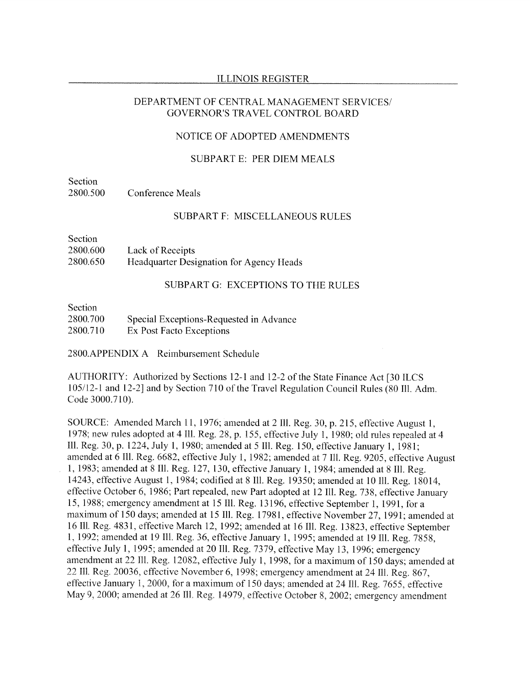#### **ILLINOIS REGISTER**

#### DEPARTMENT OF CENTRAL MANAGEMENT SERVICES/ GOVERNOR'S TRAVEL CONTROL BOARD

# NOTICE OF ADOPTED AMENDMENTS

#### **SUBPART E: PER DIEM MEALS**

Section 2800.500 **Conference Meals** 

#### **SUBPART F: MISCELLANEOUS RULES**

Section 2800.600 Lack of Receipts 2800.650 Headquarter Designation for Agency Heads

#### SUBPART G: EXCEPTIONS TO THE RULES

| Section  |                                         |
|----------|-----------------------------------------|
| 2800.700 | Special Exceptions-Requested in Advance |
| 2800.710 | Ex Post Facto Exceptions                |

2800.APPENDIX A Reimbursement Schedule

AUTHORITY: Authorized by Sections 12-1 and 12-2 of the State Finance Act [30 ILCS 105/12-1 and 12-2] and by Section 710 of the Travel Regulation Council Rules (80 III. Adm. Code 3000.710).

SOURCE: Amended March 11, 1976; amended at 2 Ill. Reg. 30, p. 215, effective August 1, 1978; new rules adopted at 4 Ill. Reg. 28, p. 155, effective July 1, 1980; old rules repealed at 4 Ill. Reg. 30, p. 1224, July 1, 1980; amended at 5 Ill. Reg. 150, effective January 1, 1981; amended at 6 Ill. Reg. 6682, effective July 1, 1982; amended at 7 Ill. Reg. 9205, effective August 1, 1983; amended at 8 Ill. Reg. 127, 130, effective January 1, 1984; amended at 8 Ill. Reg. 14243, effective August 1, 1984; codified at 8 Ill. Reg. 19350; amended at 10 Ill. Reg. 18014, effective October 6, 1986; Part repealed, new Part adopted at 12 Ill. Reg. 738, effective January 15, 1988; emergency amendment at 15 Ill. Reg. 13196, effective September 1, 1991, for a maximum of 150 days; amended at 15 Ill. Reg. 17981, effective November 27, 1991; amended at 16 Ill. Reg. 4831, effective March 12, 1992; amended at 16 Ill. Reg. 13823, effective September 1, 1992; amended at 19 Ill. Reg. 36, effective January 1, 1995; amended at 19 Ill. Reg. 7858, effective July 1, 1995; amended at 20 Ill. Reg. 7379, effective May 13, 1996; emergency amendment at 22 Ill. Reg. 12082, effective July 1, 1998, for a maximum of 150 days; amended at 22 Ill. Reg. 20036, effective November 6, 1998; emergency amendment at 24 Ill. Reg. 867. effective January 1, 2000, for a maximum of 150 days; amended at 24 Ill. Reg. 7655, effective May 9, 2000; amended at 26 Ill. Reg. 14979, effective October 8, 2002; emergency amendment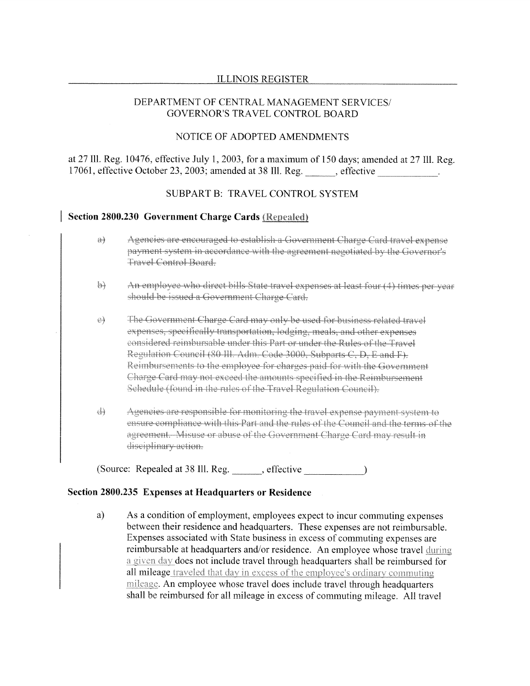#### **ILLINOIS REGISTER**

#### DEPARTMENT OF CENTRAL MANAGEMENT SERVICES/ **GOVERNOR'S TRAVEL CONTROL BOARD**

#### NOTICE OF ADOPTED AMENDMENTS

at 27 Ill. Reg. 10476, effective July 1, 2003, for a maximum of 150 days; amended at 27 Ill. Reg. 17061, effective October 23, 2003; amended at 38 Ill. Reg. effective

## **SUBPART B: TRAVEL CONTROL SYSTEM**

#### Section 2800.230 Government Charge Cards (Repealed)

- $a\}$ Agencies are encouraged to establish a Government Charge Card travel expense payment system in accordance with the agreement negotiated by the Governor's Travel Control Board.
- An employee who direct bills State travel expenses at least four (4) times per year  $\leftrightarrow$ should be issued a Government Charge Card.

The Government Charge Card may only be used for business related travel  $\Theta$ expenses, specifically transportation, lodging, meals, and other expenses eonsidered reimbursable under this Part or under the Rules of the Travel Regulation Council (80 Ill. Adm. Code 3000, Subparts C, D, E and F). Reimbursements to the employee for charges paid for with the Government Charge Card may not exceed the amounts specified in the Reimbursement Schedule (found in the rules of the Travel Regulation Council).

 $\leftrightarrow$ Agencies are responsible for monitoring the travel expense payment system to ensure compliance with this Part and the rules of the Council and the terms of the agreement. Misuse or abuse of the Government Charge Card may result in disciplinary action.

(Source: Repealed at 38 Ill. Reg. effective

#### Section 2800.235 Expenses at Headquarters or Residence

As a condition of employment, employees expect to incur commuting expenses a) between their residence and headquarters. These expenses are not reimbursable. Expenses associated with State business in excess of commuting expenses are reimbursable at headquarters and/or residence. An employee whose travel during a given day does not include travel through headquarters shall be reimbursed for all mileage traveled that day in excess of the employee's ordinary commuting mileage. An employee whose travel does include travel through headquarters shall be reimbursed for all mileage in excess of commuting mileage. All travel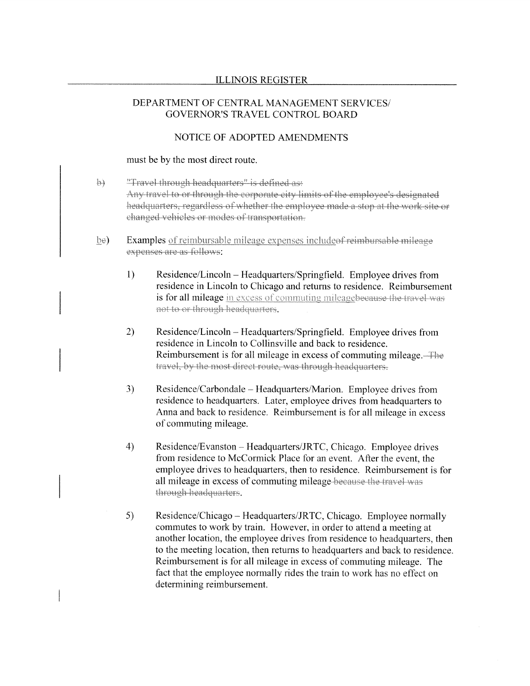## DEPARTMENT OF CENTRAL MANAGEMENT SERVICES/ **GOVERNOR'S TRAVEL CONTROL BOARD**

# NOTICE OF ADOPTED AMENDMENTS

#### must be by the most direct route.

- $\Theta$ "Travel through headquarters" is defined as: Any travel to or through the corporate city limits of the employee's designated headquarters, regardless of whether the employee made a stop at the work site or changed vehicles or modes of transportation.
- $be)$ Examples of reimbursable mileage expenses include<del>of reimbursable mileage</del> expenses are as follows:
	- $1)$ Residence/Lincoln – Headquarters/Springfield. Employee drives from residence in Lincoln to Chicago and returns to residence. Reimbursement is for all mileage in excess of commuting mileagebeeause the travel was not to or through headquarters.
	- $2)$ Residence/Lincoln - Headquarters/Springfield. Employee drives from residence in Lincoln to Collinsville and back to residence. Reimbursement is for all mileage in excess of commuting mileage. The travel, by the most direct route, was through headquarters.
	- 3) Residence/Carbondale – Headquarters/Marion. Employee drives from residence to headquarters. Later, employee drives from headquarters to Anna and back to residence. Reimbursement is for all mileage in excess of commuting mileage.
	- Residence/Evanston Headquarters/JRTC, Chicago. Employee drives  $4)$ from residence to McCormick Place for an event. After the event, the employee drives to headquarters, then to residence. Reimbursement is for all mileage in excess of commuting mileage-because the travel-was through headquarters.
	- $5)$ Residence/Chicago – Headquarters/JRTC, Chicago. Employee normally commutes to work by train. However, in order to attend a meeting at another location, the employee drives from residence to headquarters, then to the meeting location, then returns to headquarters and back to residence. Reimbursement is for all mileage in excess of commuting mileage. The fact that the employee normally rides the train to work has no effect on determining reimbursement.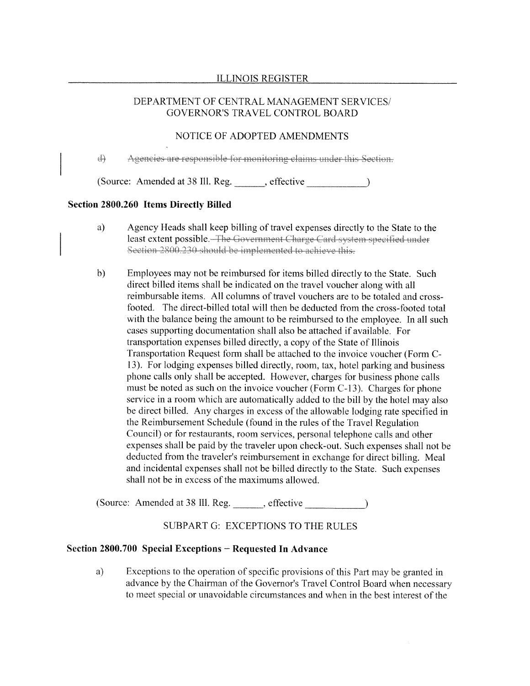# DEPARTMENT OF CENTRAL MANAGEMENT SERVICES/ **GOVERNOR'S TRAVEL CONTROL BOARD**

# NOTICE OF ADOPTED AMENDMENTS

की Agencies are responsible for monitoring claims under this Section.

(Source: Amended at 38 III. Reg. effective )

### Section 2800.260 Items Directly Billed

- a) Agency Heads shall keep billing of travel expenses directly to the State to the least extent possible. The Government Charge Card system specified under Section 2800.230 should be implemented to achieve this.
- $b)$ Employees may not be reimbursed for items billed directly to the State. Such direct billed items shall be indicated on the travel voucher along with all reimbursable items. All columns of travel vouchers are to be totaled and crossfooted. The direct-billed total will then be deducted from the cross-footed total with the balance being the amount to be reimbursed to the employee. In all such cases supporting documentation shall also be attached if available. For transportation expenses billed directly, a copy of the State of Illinois Transportation Request form shall be attached to the invoice voucher (Form C-13). For lodging expenses billed directly, room, tax, hotel parking and business phone calls only shall be accepted. However, charges for business phone calls must be noted as such on the invoice voucher (Form C-13). Charges for phone service in a room which are automatically added to the bill by the hotel may also be direct billed. Any charges in excess of the allowable lodging rate specified in the Reimbursement Schedule (found in the rules of the Travel Regulation Council) or for restaurants, room services, personal telephone calls and other expenses shall be paid by the traveler upon check-out. Such expenses shall not be deducted from the traveler's reimbursement in exchange for direct billing. Meal and incidental expenses shall not be billed directly to the State. Such expenses shall not be in excess of the maximums allowed.

# SUBPART G: EXCEPTIONS TO THE RULES

#### Section 2800.700 Special Exceptions – Requested In Advance

a) Exceptions to the operation of specific provisions of this Part may be granted in advance by the Chairman of the Governor's Travel Control Board when necessary to meet special or unavoidable circumstances and when in the best interest of the